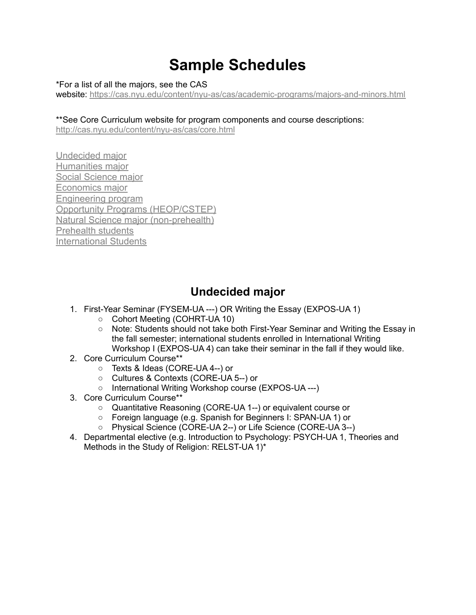# **Sample Schedules**

\*For a list of all the majors, see the CAS

website: <https://cas.nyu.edu/content/nyu-as/cas/academic-programs/majors-and-minors.html>

#### \*\*See Core Curriculum website for program components and course descriptions:

<http://cas.nyu.edu/content/nyu-as/cas/core.html>

[Undecided major](#page-0-0) [Humanities major](#page-1-0) [Social Science major](#page-2-0) [Economics major](#page-3-0) [Engineering program](#page-4-0) [Opportunity Programs \(HEOP/CSTEP\)](#page-5-0) [Natural Science major \(non-prehealth\)](#page-7-0) [Prehealth students](#page-9-0) [International Students](#page-11-0)

# **Undecided major**

- <span id="page-0-0"></span>1. First-Year Seminar (FYSEM-UA ---) OR Writing the Essay (EXPOS-UA 1)
	- Cohort Meeting (COHRT-UA 10)
	- Note: Students should not take both First-Year Seminar and Writing the Essay in the fall semester; international students enrolled in International Writing Workshop I (EXPOS-UA 4) can take their seminar in the fall if they would like.
- 2. Core Curriculum Course\*\*
	- Texts & Ideas (CORE-UA 4--) or
	- Cultures & Contexts (CORE-UA 5--) or
	- International Writing Workshop course (EXPOS-UA ---)
- 3. Core Curriculum Course\*\*
	- Quantitative Reasoning (CORE-UA 1--) or equivalent course or
	- Foreign language (e.g. Spanish for Beginners I: SPAN-UA 1) or
	- Physical Science (CORE-UA 2--) or Life Science (CORE-UA 3--)
- 4. Departmental elective (e.g. Introduction to Psychology: PSYCH-UA 1, Theories and Methods in the Study of Religion: RELST-UA 1)\*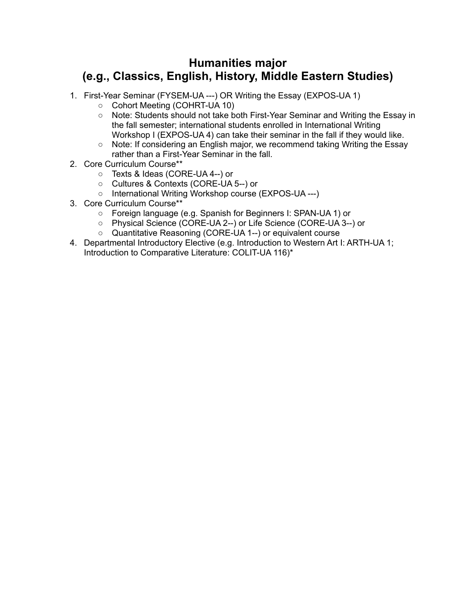# <span id="page-1-0"></span>**Humanities major (e.g., Classics, English, History, Middle Eastern Studies)**

- 1. First-Year Seminar (FYSEM-UA ---) OR Writing the Essay (EXPOS-UA 1)
	- Cohort Meeting (COHRT-UA 10)
	- Note: Students should not take both First-Year Seminar and Writing the Essay in the fall semester; international students enrolled in International Writing Workshop I (EXPOS-UA 4) can take their seminar in the fall if they would like.
	- Note: If considering an English major, we recommend taking Writing the Essay rather than a First-Year Seminar in the fall.
- 2. Core Curriculum Course\*\*
	- Texts & Ideas (CORE-UA 4--) or
	- Cultures & Contexts (CORE-UA 5--) or
	- International Writing Workshop course (EXPOS-UA ---)
- 3. Core Curriculum Course\*\*
	- Foreign language (e.g. Spanish for Beginners I: SPAN-UA 1) or
	- Physical Science (CORE-UA 2--) or Life Science (CORE-UA 3--) or
	- Quantitative Reasoning (CORE-UA 1--) or equivalent course
- 4. Departmental Introductory Elective (e.g. Introduction to Western Art I: ARTH-UA 1; Introduction to Comparative Literature: COLIT-UA 116)\*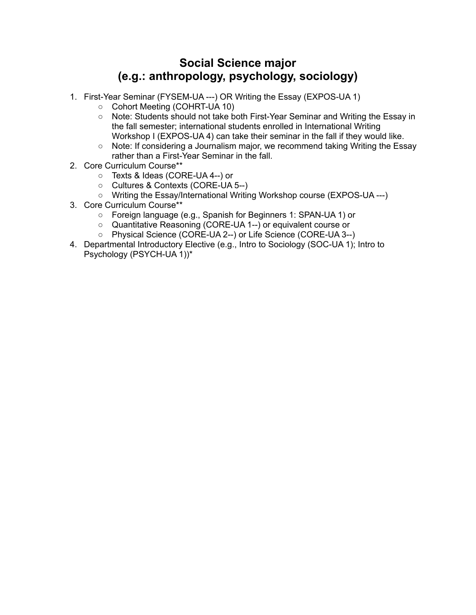# **Social Science major (e.g.: anthropology, psychology, sociology)**

- <span id="page-2-0"></span>1. First-Year Seminar (FYSEM-UA ---) OR Writing the Essay (EXPOS-UA 1)
	- Cohort Meeting (COHRT-UA 10)
	- Note: Students should not take both First-Year Seminar and Writing the Essay in the fall semester; international students enrolled in International Writing Workshop I (EXPOS-UA 4) can take their seminar in the fall if they would like.
	- Note: If considering a Journalism major, we recommend taking Writing the Essay rather than a First-Year Seminar in the fall.
- 2. Core Curriculum Course\*\*
	- Texts & Ideas (CORE-UA 4--) or
	- Cultures & Contexts (CORE-UA 5--)
	- Writing the Essay/International Writing Workshop course (EXPOS-UA ---)
- 3. Core Curriculum Course\*\*
	- Foreign language (e.g., Spanish for Beginners 1: SPAN-UA 1) or
	- Quantitative Reasoning (CORE-UA 1--) or equivalent course or
	- Physical Science (CORE-UA 2--) or Life Science (CORE-UA 3--)
- 4. Departmental Introductory Elective (e.g., Intro to Sociology (SOC-UA 1); Intro to Psychology (PSYCH-UA 1))\*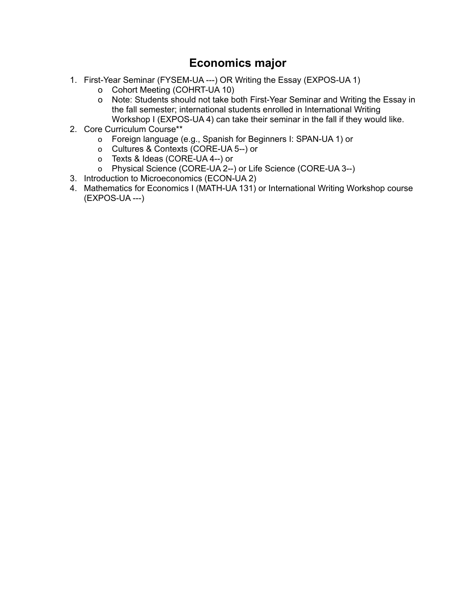# **Economics major**

- <span id="page-3-0"></span>1. First-Year Seminar (FYSEM-UA ---) OR Writing the Essay (EXPOS-UA 1)
	- o Cohort Meeting (COHRT-UA 10)
	- o Note: Students should not take both First-Year Seminar and Writing the Essay in the fall semester; international students enrolled in International Writing Workshop I (EXPOS-UA 4) can take their seminar in the fall if they would like.
- 2. Core Curriculum Course\*\*
	- o Foreign language (e.g., Spanish for Beginners I: SPAN-UA 1) or
	- o Cultures & Contexts (CORE-UA 5--) or
	- o Texts & Ideas (CORE-UA 4--) or
	- o Physical Science (CORE-UA 2--) or Life Science (CORE-UA 3--)
- 3. Introduction to Microeconomics (ECON-UA 2)
- 4. Mathematics for Economics I (MATH-UA 131) or International Writing Workshop course (EXPOS-UA ---)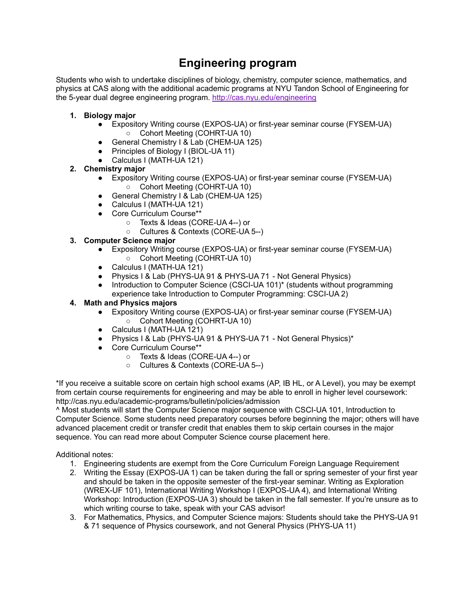# **Engineering program**

<span id="page-4-0"></span>Students who wish to undertake disciplines of biology, chemistry, computer science, mathematics, and physics at CAS along with the additional academic programs at NYU Tandon School of Engineering for the 5-year dual degree engineering program. <http://cas.nyu.edu/engineering>

- **1. Biology major**
	- Expository Writing course (EXPOS-UA) or first-year seminar course (FYSEM-UA) ○ Cohort Meeting (COHRT-UA 10)
	- General Chemistry I & Lab (CHEM-UA 125)
	- Principles of Biology I (BIOL-UA 11)
	- Calculus I (MATH-UA 121)

#### **2. Chemistry major**

- Expository Writing course (EXPOS-UA) or first-year seminar course (FYSEM-UA) Cohort Meeting (COHRT-UA 10)
- General Chemistry I & Lab (CHEM-UA 125)
- Calculus I (MATH-UA 121)
- Core Curriculum Course\*
	- Texts & Ideas (CORE-UA 4--) or
	- Cultures & Contexts (CORE-UA 5--)

#### **3. Computer Science major**

- Expository Writing course (EXPOS-UA) or first-year seminar course (FYSEM-UA) ○ Cohort Meeting (COHRT-UA 10)
- Calculus I (MATH-UA 121)
- Physics I & Lab (PHYS-UA 91 & PHYS-UA 71 Not General Physics)
- Introduction to Computer Science (CSCI-UA 101)<sup>\*</sup> (students without programming experience take Introduction to Computer Programming: CSCI-UA 2)

#### **4. Math and Physics majors**

- Expository Writing course (EXPOS-UA) or first-year seminar course (FYSEM-UA) ○ Cohort Meeting (COHRT-UA 10)
- Calculus I (MATH-UA 121)
- Physics I & Lab (PHYS-UA 91 & PHYS-UA 71 Not General Physics)\*
- Core Curriculum Course\*\*
	- Texts & Ideas (CORE-UA 4--) or
		- Cultures & Contexts (CORE-UA 5--)

\*If you receive a suitable score on certain high school exams (AP, IB HL, or A Level), you may be exempt from certain course requirements for engineering and may be able to enroll in higher level coursework: http://cas.nyu.edu/academic-programs/bulletin/policies/admission

^ Most students will start the Computer Science major sequence with CSCI-UA 101, Introduction to Computer Science. Some students need preparatory courses before beginning the major; others will have advanced placement credit or transfer credit that enables them to skip certain courses in the major sequence. You can read more about Computer Science course placement here.

#### Additional notes:

- 1. Engineering students are exempt from the Core Curriculum Foreign Language Requirement
- 2. Writing the Essay (EXPOS-UA 1) can be taken during the fall or spring semester of your first year and should be taken in the opposite semester of the first-year seminar. Writing as Exploration (WREX-UF 101), International Writing Workshop I (EXPOS-UA 4), and International Writing Workshop: Introduction (EXPOS-UA 3) should be taken in the fall semester. If you're unsure as to which writing course to take, speak with your CAS advisor!
- 3. For Mathematics, Physics, and Computer Science majors: Students should take the PHYS-UA 91 & 71 sequence of Physics coursework, and not General Physics (PHYS-UA 11)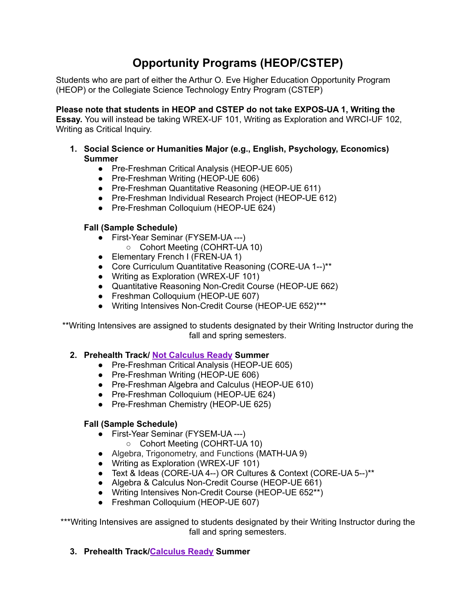# **Opportunity Programs (HEOP/CSTEP)**

<span id="page-5-0"></span>Students who are part of either the Arthur O. Eve Higher Education Opportunity Program (HEOP) or the Collegiate Science Technology Entry Program (CSTEP)

**Please note that students in HEOP and CSTEP do not take EXPOS-UA 1, Writing the Essay.** You will instead be taking WREX-UF 101, Writing as Exploration and WRCI-UF 102, Writing as Critical Inquiry.

- **1. Social Science or Humanities Major (e.g., English, Psychology, Economics) Summer**
	- Pre-Freshman Critical Analysis (HEOP-UE 605)
	- Pre-Freshman Writing (HEOP-UE 606)
	- Pre-Freshman Quantitative Reasoning (HEOP-UE 611)
	- Pre-Freshman Individual Research Project (HEOP-UE 612)
	- Pre-Freshman Colloquium (HEOP-UE 624)

### **Fall (Sample Schedule)**

- First-Year Seminar (FYSEM-UA ---)
	- Cohort Meeting (COHRT-UA 10)
- Elementary French I (FREN-UA 1)
- Core Curriculum Quantitative Reasoning (CORE-UA 1--)\*\*
- Writing as Exploration (WREX-UF 101)
- Quantitative Reasoning Non-Credit Course (HEOP-UE 662)
- Freshman Colloquium (HEOP-UE 607)
- Writing Intensives Non-Credit Course (HEOP-UE 652)\*\*\*

\*\*Writing Intensives are assigned to students designated by their Writing Instructor during the fall and spring semesters.

### **2. Prehealth Track/ Not [Calculus](https://math.nyu.edu/dynamic/undergrad/calculus-information/) Ready Summer**

- Pre-Freshman Critical Analysis (HEOP-UE 605)
- Pre-Freshman Writing (HEOP-UE 606)
- Pre-Freshman Algebra and Calculus (HEOP-UE 610)
- Pre-Freshman Colloquium (HEOP-UE 624)
- Pre-Freshman Chemistry (HEOP-UE 625)

### **Fall (Sample Schedule)**

- First-Year Seminar (FYSEM-UA ---)
	- Cohort Meeting (COHRT-UA 10)
- Algebra, Trigonometry, and Functions (MATH-UA 9)
- Writing as Exploration (WREX-UF 101)
- Text & Ideas (CORE-UA 4--) OR Cultures & Context (CORE-UA 5--)\*\*
- Algebra & Calculus Non-Credit Course (HEOP-UE 661)
- Writing Intensives Non-Credit Course (HEOP-UE 652\*\*)
- Freshman Colloquium (HEOP-UE 607)

\*\*\*Writing Intensives are assigned to students designated by their Writing Instructor during the fall and spring semesters.

**3. Prehealth Track/[Calculus](https://math.nyu.edu/dynamic/undergrad/calculus-information/) Ready Summer**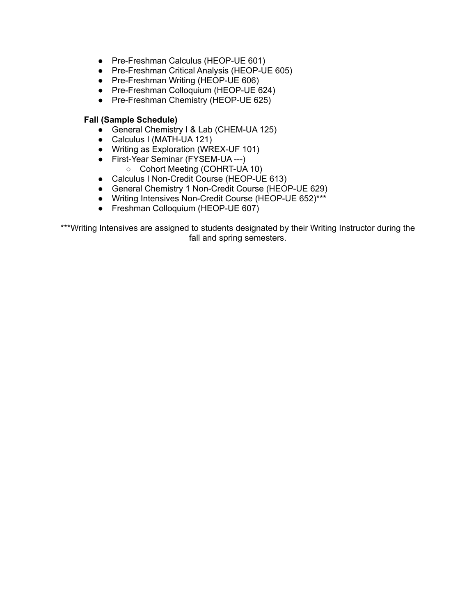- Pre-Freshman Calculus (HEOP-UE 601)
- Pre-Freshman Critical Analysis (HEOP-UE 605)
- Pre-Freshman Writing (HEOP-UE 606)
- Pre-Freshman Colloquium (HEOP-UE 624)
- Pre-Freshman Chemistry (HEOP-UE 625)

#### **Fall (Sample Schedule)**

- General Chemistry I & Lab (CHEM-UA 125)
- Calculus I (MATH-UA 121)
- Writing as Exploration (WREX-UF 101)
- First-Year Seminar (FYSEM-UA ---)
	- Cohort Meeting (COHRT-UA 10)
- Calculus I Non-Credit Course (HEOP-UE 613)
- General Chemistry 1 Non-Credit Course (HEOP-UE 629)
- Writing Intensives Non-Credit Course (HEOP-UE 652)\*\*\*
- Freshman Colloquium (HEOP-UE 607)

\*\*\*Writing Intensives are assigned to students designated by their Writing Instructor during the fall and spring semesters.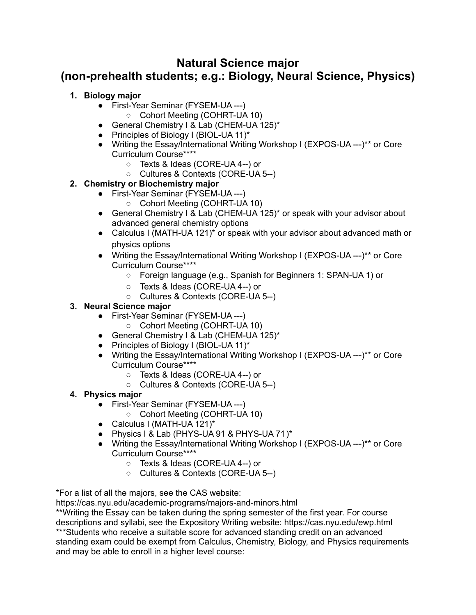# <span id="page-7-0"></span>**Natural Science major (non-prehealth students; e.g.: Biology, Neural Science, Physics)**

### **1. Biology major**

- First-Year Seminar (FYSEM-UA ---)
	- Cohort Meeting (COHRT-UA 10)
- General Chemistry I & Lab (CHEM-UA 125)\*
- Principles of Biology I (BIOL-UA 11)\*
- Writing the Essay/International Writing Workshop I (EXPOS-UA ---)\*\* or Core Curriculum Course\*\*\*\*
	- Texts & Ideas (CORE-UA 4--) or
	- Cultures & Contexts (CORE-UA 5--)

# **2. Chemistry or Biochemistry major**

- First-Year Seminar (FYSEM-UA ---)
	- Cohort Meeting (COHRT-UA 10)
- General Chemistry I & Lab (CHEM-UA 125)<sup>\*</sup> or speak with your advisor about advanced general chemistry options
- Calculus I (MATH-UA 121)<sup>\*</sup> or speak with your advisor about advanced math or physics options
- Writing the Essay/International Writing Workshop I (EXPOS-UA ---)\*\* or Core Curriculum Course\*\*\*\*
	- Foreign language (e.g., Spanish for Beginners 1: SPAN-UA 1) or
	- Texts & Ideas (CORE-UA 4--) or
	- Cultures & Contexts (CORE-UA 5--)

### **3. Neural Science major**

- First-Year Seminar (FYSEM-UA ---)
	- Cohort Meeting (COHRT-UA 10)
- General Chemistry I & Lab (CHEM-UA 125)\*
- Principles of Biology I (BIOL-UA 11)\*
- Writing the Essay/International Writing Workshop I (EXPOS-UA ---)\*\* or Core Curriculum Course\*\*\*\*
	- Texts & Ideas (CORE-UA 4--) or
	- Cultures & Contexts (CORE-UA 5--)

# **4. Physics major**

- First-Year Seminar (FYSEM-UA ---)
	- Cohort Meeting (COHRT-UA 10)
- Calculus I (MATH-UA 121)\*
- Physics I & Lab (PHYS-UA 91 & PHYS-UA 71)\*
- Writing the Essay/International Writing Workshop I (EXPOS-UA ---)\*\* or Core Curriculum Course\*\*\*\*
	- Texts & Ideas (CORE-UA 4--) or
	- Cultures & Contexts (CORE-UA 5--)

\*For a list of all the majors, see the CAS website:

https://cas.nyu.edu/academic-programs/majors-and-minors.html

\*\*Writing the Essay can be taken during the spring semester of the first year. For course descriptions and syllabi, see the Expository Writing website: https://cas.nyu.edu/ewp.html \*\*\*Students who receive a suitable score for advanced standing credit on an advanced standing exam could be exempt from Calculus, Chemistry, Biology, and Physics requirements and may be able to enroll in a higher level course: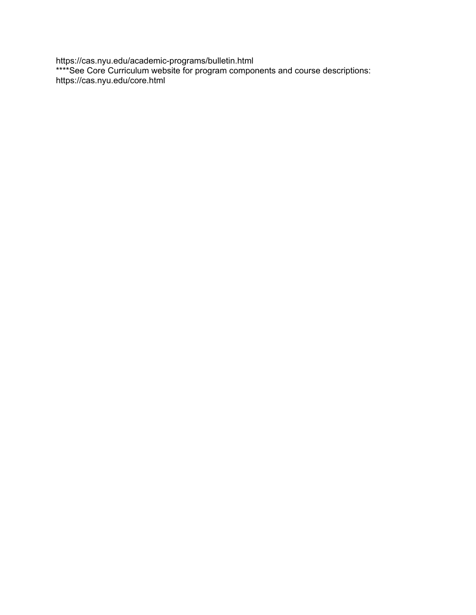https://cas.nyu.edu/academic-programs/bulletin.html \*\*\*\*See Core Curriculum website for program components and course descriptions: https://cas.nyu.edu/core.html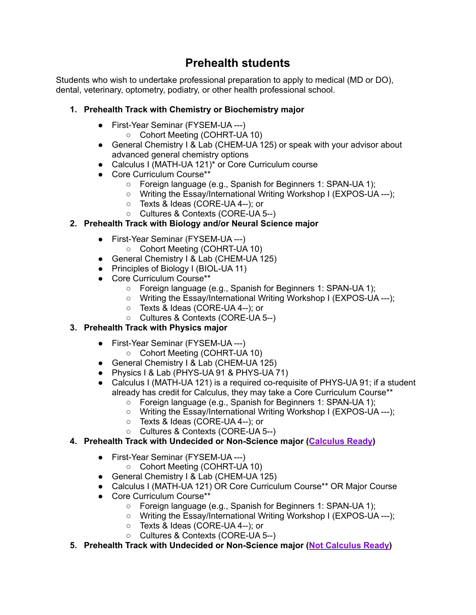# **Prehealth students**

<span id="page-9-0"></span>Students who wish to undertake professional preparation to apply to medical (MD or DO), dental, veterinary, optometry, podiatry, or other health professional school.

### **1. Prehealth Track with Chemistry or Biochemistry major**

- First-Year Seminar (FYSEM-UA ---)
	- Cohort Meeting (COHRT-UA 10)
- General Chemistry I & Lab (CHEM-UA 125) or speak with your advisor about advanced general chemistry options
- Calculus I (MATH-UA 121)<sup>\*</sup> or Core Curriculum course
- Core Curriculum Course\*\*
	- Foreign language (e.g., Spanish for Beginners 1: SPAN-UA 1);
	- Writing the Essay/International Writing Workshop I (EXPOS-UA ---);
	- Texts & Ideas (CORE-UA 4--); or
	- Cultures & Contexts (CORE-UA 5--)

# **2. Prehealth Track with Biology and/or Neural Science major**

- First-Year Seminar (FYSEM-UA ---)
	- Cohort Meeting (COHRT-UA 10)
- General Chemistry I & Lab (CHEM-UA 125)
- Principles of Biology I (BIOL-UA 11)
- Core Curriculum Course\*\*
	- Foreign language (e.g., Spanish for Beginners 1: SPAN-UA 1);
	- Writing the Essay/International Writing Workshop I (EXPOS-UA ---);
	- Texts & Ideas (CORE-UA 4--); or
	- Cultures & Contexts (CORE-UA 5--)

# **3. Prehealth Track with Physics major**

- First-Year Seminar (FYSEM-UA ---)
	- Cohort Meeting (COHRT-UA 10)
- General Chemistry I & Lab (CHEM-UA 125)
- Physics I & Lab (PHYS-UA 91 & PHYS-UA 71)
- Calculus I (MATH-UA 121) is a required co-requisite of PHYS-UA 91; if a student already has credit for Calculus, they may take a Core Curriculum Course\*\*
	- Foreign language (e.g., Spanish for Beginners 1: SPAN-UA 1);
	- Writing the Essay/International Writing Workshop I (EXPOS-UA ---);
	- Texts & Ideas (CORE-UA 4--); or
	- Cultures & Contexts (CORE-UA 5--)

# **4. Prehealth Track with Undecided or Non-Science major ([Calculus](https://math.nyu.edu/dynamic/undergrad/calculus-information/) Ready)**

- First-Year Seminar (FYSEM-UA ---)
	- Cohort Meeting (COHRT-UA 10)
- General Chemistry I & Lab (CHEM-UA 125)
- Calculus I (MATH-UA 121) OR Core Curriculum Course\*\* OR Major Course
- Core Curriculum Course\*\*
	- Foreign language (e.g., Spanish for Beginners 1: SPAN-UA 1);
	- Writing the Essay/International Writing Workshop I (EXPOS-UA ---);
	- Texts & Ideas (CORE-UA 4--); or
	- Cultures & Contexts (CORE-UA 5--)
- **5. Prehealth Track with Undecided or Non-Science major (Not [Calculus](https://math.nyu.edu/dynamic/undergrad/calculus-information/) Ready)**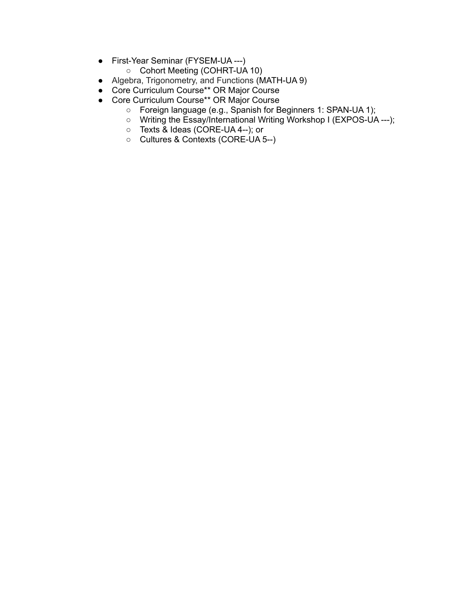- First-Year Seminar (FYSEM-UA ---)
	- Cohort Meeting (COHRT-UA 10)
- Algebra, Trigonometry, and Functions (MATH-UA 9)
- Core Curriculum Course\*\* OR Major Course
- Core Curriculum Course\*\* OR Major Course
	- Foreign language (e.g., Spanish for Beginners 1: SPAN-UA 1);
	- Writing the Essay/International Writing Workshop I (EXPOS-UA ---);
	- Texts & Ideas (CORE-UA 4--); or
	- Cultures & Contexts (CORE-UA 5--)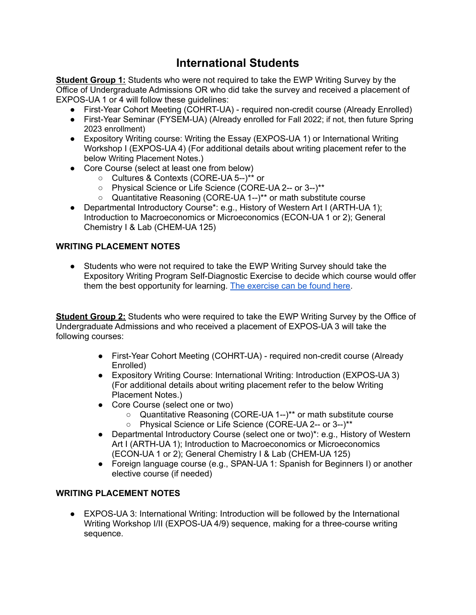# **International Students**

<span id="page-11-0"></span>**Student Group 1:** Students who were not required to take the EWP Writing Survey by the Office of Undergraduate Admissions OR who did take the survey and received a placement of EXPOS-UA 1 or 4 will follow these guidelines:

- First-Year Cohort Meeting (COHRT-UA) required non-credit course (Already Enrolled)
- First-Year Seminar (FYSEM-UA) (Already enrolled for Fall 2022; if not, then future Spring 2023 enrollment)
- Expository Writing course: Writing the Essay (EXPOS-UA 1) or International Writing Workshop I (EXPOS-UA 4) (For additional details about writing placement refer to the below Writing Placement Notes.)
- Core Course (select at least one from below)
	- Cultures & Contexts (CORE-UA 5--)\*\* or
	- Physical Science or Life Science (CORE-UA 2-- or 3--)\*\*
	- Quantitative Reasoning (CORE-UA 1--)\*\* or math substitute course
- Departmental Introductory Course\*: e.g., History of Western Art I (ARTH-UA 1); Introduction to Macroeconomics or Microeconomics (ECON-UA 1 or 2); General Chemistry I & Lab (CHEM-UA 125)

# **WRITING PLACEMENT NOTES**

● Students who were not required to take the EWP Writing Survey should take the Expository Writing Program Self-Diagnostic Exercise to decide which course would offer them the best opportunity for learning. The [exercise](https://cas.nyu.edu/content/dam/nyu-as/casEWP/documents/Diagnostic.pdf) can be found here.

**Student Group 2:** Students who were required to take the EWP Writing Survey by the Office of Undergraduate Admissions and who received a placement of EXPOS-UA 3 will take the following courses:

- First-Year Cohort Meeting (COHRT-UA) required non-credit course (Already Enrolled)
- Expository Writing Course: International Writing: Introduction (EXPOS-UA 3) (For additional details about writing placement refer to the below Writing Placement Notes.)
- Core Course (select one or two)
	- Quantitative Reasoning (CORE-UA 1--)<sup>\*\*</sup> or math substitute course
	- Physical Science or Life Science (CORE-UA 2-- or 3--)\*\*
- Departmental Introductory Course (select one or two)\*: e.g., History of Western Art I (ARTH-UA 1); Introduction to Macroeconomics or Microeconomics (ECON-UA 1 or 2); General Chemistry I & Lab (CHEM-UA 125)
- Foreign language course (e.g., SPAN-UA 1: Spanish for Beginners I) or another elective course (if needed)

### **WRITING PLACEMENT NOTES**

● EXPOS-UA 3: International Writing: Introduction will be followed by the International Writing Workshop I/II (EXPOS-UA 4/9) sequence, making for a three-course writing sequence.